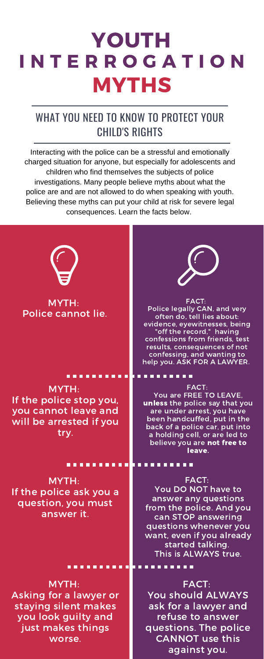If the police stop you, you cannot leave and will be arrested if you try.



MYTH: If the police ask you a question, you must answer it.

### . . . . . . . . . . **.** . . . .

# YOUTH **MYTHS** I N T E R R O G A T I O N

FACT: You DO NOT have to answer any questions from the police. And you can STOP answering questions whenever you want, even if you already started talking. This is ALWAYS true.

unless the police say that you are under arrest, you have been handcuffed, put in the back of a police car, put into a holding cell, or are led to believe you are not free to leave.

### 

# WHAT YOU NEED TO KNOW TO PROTECT YOUR CHILD'S RIGHTS

MYTH: Asking for a lawyer or staying silent makes you look guilty and just makes things worse.

FACT: You should ALWAYS ask for a lawyer and refuse to answer questions. The police CANNOT use this against you.

Interacting with the police can be a stressful and emotionally charged situation for anyone, but especially for adolescents and children who find themselves the subjects of police investigations. Many people believe myths about what the police are and are not allowed to do when speaking with youth. Believing these myths can put your child at risk for severe legal consequences. Learn the facts below.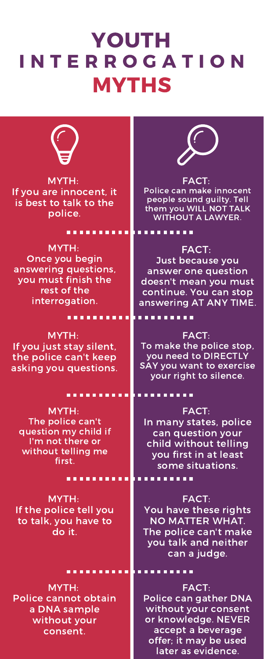MYTH: If you just stay silent, the police can't keep asking you questions.



### FACT:

To make the police stop, you need to DIRECTLY SAY you want to exercise your right to silence.

### ......... .........

MYTH: The police can't question my child if I'm not there or without telling me first.

### ......... . . . . . . . .

# YOUTH MYTHS I N T E R R O G A T I O N



MYTH: If the police tell you to talk, you have to do it.

FACT: You have these rights NO MATTER WHAT. The police can't make you talk and neither can a judge.

FACT: In many states, police can question your child without telling you first in at least some situations.

MYTH: Police cannot obtain a DNA sample without your consent.

FACT: Police can gather DNA without your consent or knowledge. NEVER accept a beverage offer; it may be used later as evidence.

MYTH: Once you begin answering questions, you must finish the rest of the interrogation.

### FACT:

Just because you answer one question doesn't mean you must continue. You can stop answering AT ANY TIME.

. . . . . . . . . .

. . . . . . . . . .

MYTH: If you are innocent, it is best to talk to the police.

### ------

FACT: Police can make innocent people sound guilty. Tell them you WILL NOT TALK WITHOUT A LAWYER.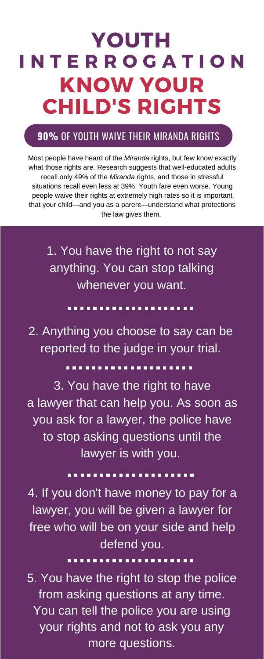### DON'T: ............

DON'T:

# YOUTH KNOW YOUR CHILD'S RIGHTS I N T E R R O G A T I O N

# **90%** OF YOUTH WAIVE THEIR MIRANDA RIGHTS

Most people have heard of the *Miranda* rights, but few know exactly what those rights are. Research suggests that well-educated adults recall only 49% of the *Miranda* rights, and those in stressful situations recall even less at 39%. Youth fare even worse. Young people waive their rights at extremely high rates so it is important that your child—and you as a parent—understand what protections the law gives them.

from asking questions at any time. 5. You have the right to stop the police You can tell the police you are using your rights and not to ask you any more questions.

1. You have the right to not say anything. You can stop talking whenever you want.

2. Anything you choose to say can be reported to the judge in your trial.

## ,,,,,,,,,,,,,,,,,,,

3. You have the right to have

a lawyer that can help you. As soon as you ask for a lawyer, the police have to stop asking questions until the lawyer is with you.

4. If you don't have money to pay for a lawyer, you will be given a lawyer for free who will be on your side and help defend you.

### ..................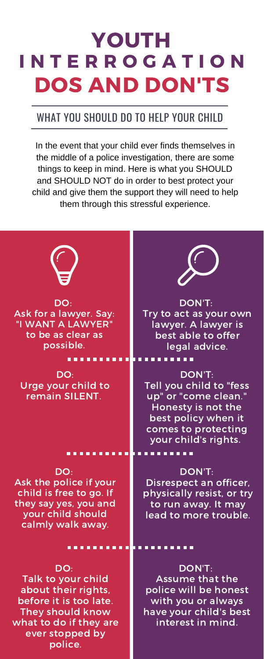# remain SILENT.



DO: Ask the police if your child is free to go. If they say yes, you and your child should calmly walk away.

up" or "come clean. Honesty is not the best policy when it comes to protecting your child's rights.

### . . . . . . . . . T 8 8 8 . . . . .

# YOUTH DOS AND DON'TS I N T E R R O G A T I O N

### DON'T:

Disrespect an officer, physically resist, or try to run away. It may lead to more trouble.

### 10 D D D . . . . .

Tell you child to "fess

# WHAT YOU SHOULD DO TO HELP YOUR CHILD

DO: Talk to your child about their rights, before it is too late. They should know what to do if they are ever stopped by police.

DON'T: Assume that the police will be honest with you or always have your child's best interest in mind.

In the event that your child ever finds themselves in the middle of a police investigation, there are some things to keep in mind. Here is what you SHOULD and SHOULD NOT do in order to best protect your child and give them the support they will need to help them through this stressful experience.